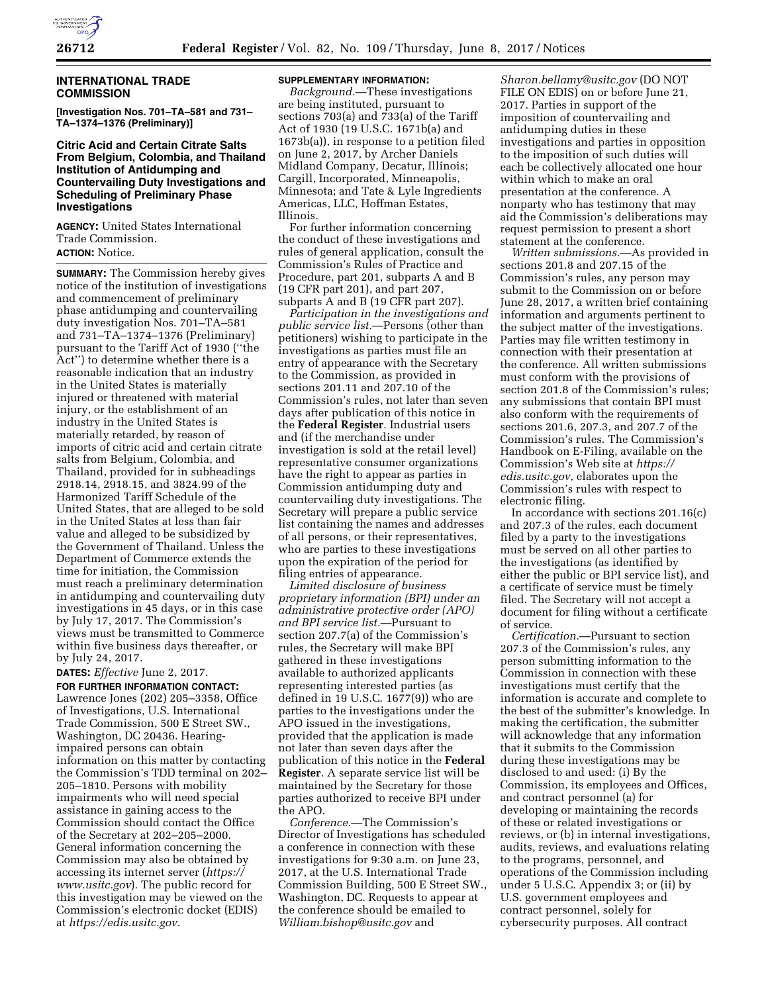

### **INTERNATIONAL TRADE COMMISSION**

**[Investigation Nos. 701–TA–581 and 731– TA–1374–1376 (Preliminary)]** 

## **Citric Acid and Certain Citrate Salts From Belgium, Colombia, and Thailand Institution of Antidumping and Countervailing Duty Investigations and Scheduling of Preliminary Phase Investigations**

**AGENCY:** United States International Trade Commission. **ACTION:** Notice.

**SUMMARY:** The Commission hereby gives notice of the institution of investigations and commencement of preliminary phase antidumping and countervailing duty investigation Nos. 701–TA–581 and 731–TA–1374–1376 (Preliminary) pursuant to the Tariff Act of 1930 (''the Act'') to determine whether there is a reasonable indication that an industry in the United States is materially injured or threatened with material injury, or the establishment of an industry in the United States is materially retarded, by reason of imports of citric acid and certain citrate salts from Belgium, Colombia, and Thailand, provided for in subheadings 2918.14, 2918.15, and 3824.99 of the Harmonized Tariff Schedule of the United States, that are alleged to be sold in the United States at less than fair value and alleged to be subsidized by the Government of Thailand. Unless the Department of Commerce extends the time for initiation, the Commission must reach a preliminary determination in antidumping and countervailing duty investigations in 45 days, or in this case by July 17, 2017. The Commission's views must be transmitted to Commerce within five business days thereafter, or by July 24, 2017.

# **DATES:** *Effective* June 2, 2017.

**FOR FURTHER INFORMATION CONTACT:**  Lawrence Jones (202) 205–3358, Office of Investigations, U.S. International Trade Commission, 500 E Street SW., Washington, DC 20436. Hearingimpaired persons can obtain information on this matter by contacting the Commission's TDD terminal on 202– 205–1810. Persons with mobility impairments who will need special assistance in gaining access to the Commission should contact the Office of the Secretary at 202–205–2000. General information concerning the Commission may also be obtained by accessing its internet server (*[https://](https://www.usitc.gov) [www.usitc.gov](https://www.usitc.gov)*). The public record for this investigation may be viewed on the Commission's electronic docket (EDIS) at *[https://edis.usitc.gov.](https://edis.usitc.gov)* 

## **SUPPLEMENTARY INFORMATION:**

*Background.*—These investigations are being instituted, pursuant to sections 703(a) and 733(a) of the Tariff Act of 1930 (19 U.S.C. 1671b(a) and 1673b(a)), in response to a petition filed on June 2, 2017, by Archer Daniels Midland Company, Decatur, Illinois; Cargill, Incorporated, Minneapolis, Minnesota; and Tate & Lyle Ingredients Americas, LLC, Hoffman Estates, Illinois.

For further information concerning the conduct of these investigations and rules of general application, consult the Commission's Rules of Practice and Procedure, part 201, subparts A and B (19 CFR part 201), and part 207, subparts A and B (19 CFR part 207).

*Participation in the investigations and public service list.*—Persons (other than petitioners) wishing to participate in the investigations as parties must file an entry of appearance with the Secretary to the Commission, as provided in sections 201.11 and 207.10 of the Commission's rules, not later than seven days after publication of this notice in the **Federal Register**. Industrial users and (if the merchandise under investigation is sold at the retail level) representative consumer organizations have the right to appear as parties in Commission antidumping duty and countervailing duty investigations. The Secretary will prepare a public service list containing the names and addresses of all persons, or their representatives, who are parties to these investigations upon the expiration of the period for filing entries of appearance.

*Limited disclosure of business proprietary information (BPI) under an administrative protective order (APO) and BPI service list.*—Pursuant to section 207.7(a) of the Commission's rules, the Secretary will make BPI gathered in these investigations available to authorized applicants representing interested parties (as defined in 19 U.S.C. 1677(9)) who are parties to the investigations under the APO issued in the investigations, provided that the application is made not later than seven days after the publication of this notice in the **Federal Register**. A separate service list will be maintained by the Secretary for those parties authorized to receive BPI under the APO.

*Conference.*—The Commission's Director of Investigations has scheduled a conference in connection with these investigations for 9:30 a.m. on June 23, 2017, at the U.S. International Trade Commission Building, 500 E Street SW., Washington, DC. Requests to appear at the conference should be emailed to *[William.bishop@usitc.gov](mailto:William.bishop@usitc.gov)* and

*[Sharon.bellamy@usitc.gov](mailto:Sharon.bellamy@usitc.gov)* (DO NOT FILE ON EDIS) on or before June 21, 2017. Parties in support of the imposition of countervailing and antidumping duties in these investigations and parties in opposition to the imposition of such duties will each be collectively allocated one hour within which to make an oral presentation at the conference. A nonparty who has testimony that may aid the Commission's deliberations may request permission to present a short statement at the conference.

*Written submissions.*—As provided in sections 201.8 and 207.15 of the Commission's rules, any person may submit to the Commission on or before June 28, 2017, a written brief containing information and arguments pertinent to the subject matter of the investigations. Parties may file written testimony in connection with their presentation at the conference. All written submissions must conform with the provisions of section 201.8 of the Commission's rules; any submissions that contain BPI must also conform with the requirements of sections 201.6, 207.3, and 207.7 of the Commission's rules. The Commission's Handbook on E-Filing, available on the Commission's Web site at *[https://](https://edis.usitc.gov) [edis.usitc.gov,](https://edis.usitc.gov)* elaborates upon the Commission's rules with respect to electronic filing.

In accordance with sections 201.16(c) and 207.3 of the rules, each document filed by a party to the investigations must be served on all other parties to the investigations (as identified by either the public or BPI service list), and a certificate of service must be timely filed. The Secretary will not accept a document for filing without a certificate of service.

*Certification.*—Pursuant to section 207.3 of the Commission's rules, any person submitting information to the Commission in connection with these investigations must certify that the information is accurate and complete to the best of the submitter's knowledge. In making the certification, the submitter will acknowledge that any information that it submits to the Commission during these investigations may be disclosed to and used: (i) By the Commission, its employees and Offices, and contract personnel (a) for developing or maintaining the records of these or related investigations or reviews, or (b) in internal investigations, audits, reviews, and evaluations relating to the programs, personnel, and operations of the Commission including under 5 U.S.C. Appendix 3; or (ii) by U.S. government employees and contract personnel, solely for cybersecurity purposes. All contract